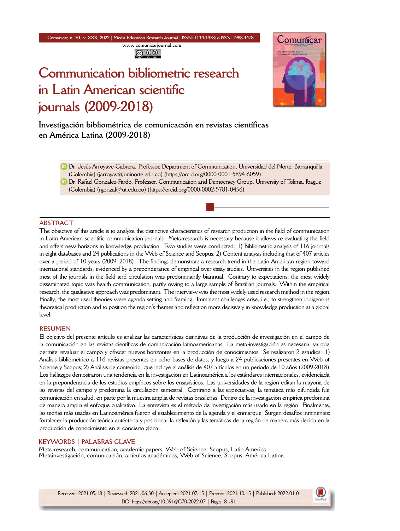**Comunicar, n. 70, v. XXX, 2022** *|* **Media Education Research Journal** *|* **ISSN: 1134-3478; e-ISSN: 1988-3478 <www.comunicarjournal.com>**

@ 0ම

# **Communication bibliometric research in Latin American scientific journals (2009-2018)**



**Investigación bibliométrica de comunicación en revistas científicas en América Latina (2009-2018)**

Dr. Jesús Arroyave-Cabrera. Professor, Department of Communication, Universidad del Norte, Barranquilla (Colombia) [\(jarroyav@uninorte.edu.co\)](mailto:jarroyav@uninorte.edu.co) [\(https://orcid.org/0000-0001-5894-6059](https://orcid.org/0000-0001-5894-6059))

Dr. Rafael Gonzalez-Pardo. Professor, Communication and Democracy Group, University of Tolima, Ibague  $(Colombia)$  (rgonzal $@ut.edu.co)$  ([https://orcid.org/0000-0002-5781-0456\)](https://orcid.org/0000-0002-5781-0456)

### **ABSTRACT**

The objective of this article is to analyze the distinctive characteristics of research production in the field of communication in Latin American scientific communication journals. Meta-research is necessary because it allows re-evaluating the field and offers new horizons in knowledge production. Two studies were conducted: 1) Bibliometric analysis of 116 journals in eight databases and 24 publications in the Web of Science and Scopus; 2) Content analysis including that of 407 articles over a period of 10 years (2009–2018). The findings demonstrate a research trend in the Latin American region toward international standards, evidenced by a preponderance of empirical over essay studies. Universities in the region published most of the journals in the field and circulation was predominantly biannual. Contrary to expectations, the most widely disseminated topic was health communication, partly owing to a large sample of Brazilian journals. Within the empirical research, the qualitative approach was predominant. The interview was the most widely used research method in the region. Finally, the most used theories were agenda setting and framing. Imminent challenges arise, i.e., to strengthen indigenous theoretical production and to position the region's themes and reflection more decisively in knowledge production at a global level.

#### **RESUMEN**

El objetivo del presente artículo es analizar las características distintivas de la producción de investigación en el campo de la comunicación en las revistas científicas de comunicación latinoamericanas. La meta-investigación es necesaria, ya que permite revaluar el campo y ofrecer nuevos horizontes en la producción de conocimientos. Se realizaron 2 estudios: 1) Análisis bibliométrico a 116 revistas presentes en ocho bases de datos, y luego a 24 publicaciones presentes en Web of Science y Scopus; 2) Análisis de contenido, que incluye el análisis de 407 artículos en un periodo de 10 años (2009-2018). Los hallazgos demostraron una tendencia en la investigación en Latinoamérica a los estándares internacionales, evidenciada en la preponderancia de los estudios empíricos sobre los ensayísticos. Las universidades de la región editan la mayoría de las revistas del campo y predomina la circulación semestral. Contrario a las expectativas, la temática más difundida fue comunicación en salud, en parte por la muestra amplia de revistas brasileñas. Dentro de la investigación empírica predomina de manera amplia el enfoque cualitativo. La entrevista es el método de investigación más usado en la región. Finalmente, las teorías más usadas en Latinoamérica fueron el establecimiento de la agenda y el enmarque. Surgen desafíos inminentes: fortalecer la producción teórica autóctona y posicionar la reflexión y las temáticas de la región de manera más decida en la producción de conocimiento en el concierto global.

#### **KEYWORDS | PALABRAS CLAVE**

Meta-research, communication, academic papers, Web of Science, Scopus, Latin America. Metainvestigación, comunicación, artículos académicos, Web of Science, Scopus, América Latina.

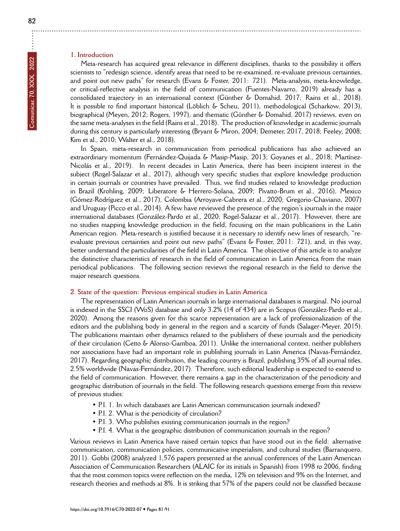# **1. Introduction**

Meta-research has acquired great relevance in different disciplines, thanks to the possibility it offers scientists to "redesign science, identify areas that need to be re-examined, re-evaluate previous certainties, and point out new paths" for research (Evans & Foster, 2011: 721). Meta-analysis, meta-knowledge, or critical-reflective analysis in the field of communication (Fuentes-Navarro, 2019) already has a consolidated trajectory in an international context (Günther & Domahid, 2017; Rains et al., 2018). It is possible to find important historical (Löblich & Scheu, 2011), methodological (Scharkow, 2013), biographical (Meyen, 2012; Rogers, 1997), and thematic (Günther & Domahid, 2017) reviews, even on the same meta-analyses in the field (Rains et al., 2018). The production of knowledge in academic journals during this century is particularly interesting (Bryant & Miron, 2004; Demeter, 2017, 2018; Feeley, 2008; Kim et al., 2010; Walter et al., 2018).

In Spain, meta-research in communication from periodical publications has also achieved an extraordinary momentum (Fernández-Quijada & Masip-Masip, 2013; Goyanes et al., 2018; Martínez-Nicolás et al., 2019). In recent decades in Latin America, there has been incipient interest in the subject (Rogel-Salazar et al., 2017), although very specific studies that explore knowledge production in certain journals or countries have prevailed. Thus, we find studies related to knowledge production in Brazil (Krohling, 2009; Liberatore & Herrero-Solana, 2009; Pivatto-Brum et al., 2016), Mexico (Gómez-Rodríguez et al., 2017), Colombia (Arroyave-Cabrera et al., 2020; Gregorio-Chaviano, 2007) and Uruguay (Picco et al., 2014). A few have reviewed the presence of the region's journals in the major international databases (González-Pardo et al., 2020; Rogel-Salazar et al., 2017). However, there are no studies mapping knowledge production in the field, focusing on the main publications in the Latin American region. Meta-research is justified because it is necessary to identify new lines of research, "reevaluate previous certainties and point out new paths" (Evans & Foster, 2011: 721), and, in this way, better understand the particularities of the field in Latin America. The objective of this article is to analyze the distinctive characteristics of research in the field of communication in Latin America from the main periodical publications. The following section reviews the regional research in the field to derive the major research questions.

### **2. State of the question: Previous empirical studies in Latin America**

The representation of Latin American journals in large international databases is marginal. No journal is indexed in the SSCI (WoS) database and only 3.2% (14 of 434) are in Scopus (González-Pardo et al., 2020). Among the reasons given for this scarce representation are a lack of professionalization of the editors and the publishing body in general in the region and a scarcity of funds (Salager-Meyer, 2015). The publications maintain other dynamics related to the publishers of these journals and the periodicity of their circulation (Cetto & Alonso-Gamboa, 2011). Unlike the international context, neither publishers nor associations have had an important role in publishing journals in Latin America (Navas-Fernández, 2017). Regarding geographic distribution, the leading country is Brazil, publishing 35% of all journal titles, 2.5% worldwide (Navas-Fernández, 2017). Therefore, such editorial leadership is expected to extend to the field of communication. However, there remains a gap in the characterization of the periodicity and geographic distribution of journals in the field. The following research questions emerge from this review of previous studies:

- P.I. 1. In which databases are Latin American communication journals indexed?
- P.I. 2. What is the periodicity of circulation?
- P.I. 3. Who publishes existing communication journals in the region?
- P.I. 4. What is the geographic distribution of communication journals in the region?

Various reviews in Latin America have raised certain topics that have stood out in the field: alternative communication, communication policies, communicative imperialism, and cultural studies (Barranquero, 2011). Gobbi (2008) analyzed 1,576 papers presented at the annual conferences of the Latin American Association of Communication Researchers (ALAIC for its initials in Spanish) from 1998 to 2006, finding that the most common topics were reflection on the media, 12% on television and 9% on the Internet, and research theories and methods at 8%. It is striking that 57% of the papers could not be classified because

÷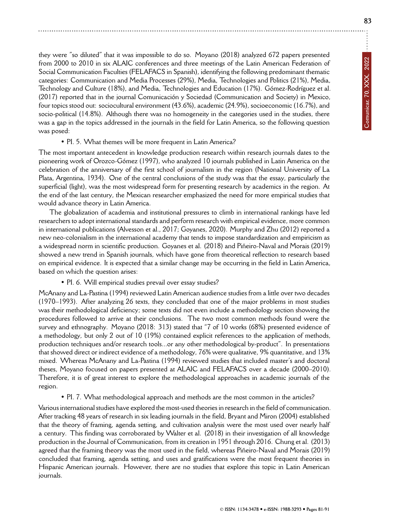they were "so diluted" that it was impossible to do so. Moyano (2018) analyzed 672 papers presented from 2000 to 2010 in six ALAIC conferences and three meetings of the Latin American Federation of Social Communication Faculties (FELAFACS in Spanish), identifying the following predominant thematic categories: Communication and Media Processes (29%), Media, Technologies and Politics (21%), Media, Technology and Culture (18%), and Media, Technologies and Education (17%). Gómez-Rodríguez et al. (2017) reported that in the journal Comunicación y Sociedad (Communication and Society) in Mexico, four topics stood out: sociocultural environment (43.6%), academic (24.9%), socioeconomic (16.7%), and socio-political (14.8%). Although there was no homogeneity in the categories used in the studies, there was a gap in the topics addressed in the journals in the field for Latin America, so the following question was posed:

#### • PI. 5. What themes will be more frequent in Latin America?

The most important antecedent in knowledge production research within research journals dates to the pioneering work of Orozco-Gómez (1997), who analyzed 10 journals published in Latin America on the celebration of the anniversary of the first school of journalism in the region (National University of La Plata, Argentina, 1934). One of the central conclusions of the study was that the essay, particularly the superficial (light), was the most widespread form for presenting research by academics in the region. At the end of the last century, the Mexican researcher emphasized the need for more empirical studies that would advance theory in Latin America.

The globalization of academia and institutional pressures to climb in international rankings have led researchers to adopt international standards and perform research with empirical evidence, more common in international publications (Alvesson et al., 2017; Goyanes, 2020). Murphy and Zhu (2012) reported a new neo-colonialism in the international academy that tends to impose standardization and empiricism as a widespread norm in scientific production. Goyanes et al. (2018) and Piñeiro-Naval and Morais (2019) showed a new trend in Spanish journals, which have gone from theoretical reflection to research based on empirical evidence. It is expected that a similar change may be occurring in the field in Latin America, based on which the question arises:

• PI. 6. Will empirical studies prevail over essay studies?

McAnany and La-Pastina (1994) reviewed Latin American audience studies from a little over two decades (1970–1993). After analyzing 26 texts, they concluded that one of the major problems in most studies was their methodological deficiency; some texts did not even include a methodology section showing the procedures followed to arrive at their conclusions. The two most common methods found were the survey and ethnography. Moyano (2018: 313) stated that "7 of 10 works (68%) presented evidence of a methodology, but only 2 out of 10 (19%) contained explicit references to the application of methods, production techniques and/or research tools...or any other methodological by-product". In presentations that showed direct or indirect evidence of a methodology, 76% were qualitative, 9% quantitative, and 13% mixed. Whereas McAnany and La-Pastina (1994) reviewed studies that included master's and doctoral theses, Moyano focused on papers presented at ALAIC and FELAFACS over a decade (2000–2010). Therefore, it is of great interest to explore the methodological approaches in academic journals of the region.

• PI. 7. What methodological approach and methods are the most common in the articles?

Various international studies have explored the most-used theories in research in the field of communication. After tracking 48 years of research in six leading journals in the field, Bryant and Miron (2004) established that the theory of framing, agenda setting, and cultivation analysis were the most used over nearly half a century. This finding was corroborated by Walter et al. (2018) in their investigation of all knowledge production in the Journal of Communication, from its creation in 1951 through 2016. Chung et al. (2013) agreed that the framing theory was the most used in the field, whereas Piñeiro-Naval and Morais (2019) concluded that framing, agenda setting, and uses and gratifications were the most frequent theories in Hispanic American journals. However, there are no studies that explore this topic in Latin American journals.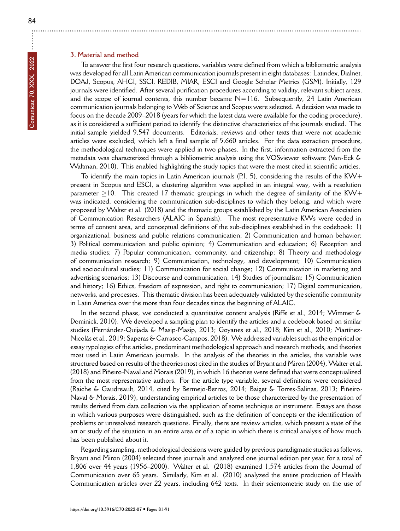# **3. Material and method**

To answer the first four research questions, variables were defined from which a bibliometric analysis was developed for all Latin American communication journals present in eight databases: Latindex, Dialnet, DOAJ, Scopus, AHCI, SSCI, REDIB, MIAR, ESCI and Google Scholar Metrics (GSM). Initially, 129 journals were identified. After several purification procedures according to validity, relevant subject areas, and the scope of journal contents, this number became  $N=116$ . Subsequently, 24 Latin American communication journals belonging to Web of Science and Scopus were selected. A decision was made to focus on the decade 2009–2018 (years for which the latest data were available for the coding procedure), as it is considered a sufficient period to identify the distinctive characteristics of the journals studied. The initial sample yielded 9,547 documents. Editorials, reviews and other texts that were not academic articles were excluded, which left a final sample of 5,660 articles. For the data extraction procedure, the methodological techniques were applied in two phases. In the first, information extracted from the metadata was characterized through a bibliometric analysis using the VOSviewer software (Van-Eck & Waltman, 2010). This enabled highlighting the study topics that were the most cited in scientific articles.

To identify the main topics in Latin American journals (P.I. 5), considering the results of the KW+ present in Scopus and ESCI, a clustering algorithm was applied in an integral way, with a resolution parameter *≥*10. This created 17 thematic groupings in which the degree of similarity of the KW+ was indicated, considering the communication sub-disciplines to which they belong, and which were proposed by Walter et al. (2018) and the thematic groups established by the Latin American Association of Communication Researchers (ALAIC in Spanish). The most representative KWs were coded in terms of content area, and conceptual definitions of the sub-disciplines established in the codebook: 1) organizational, business and public relations communication; 2) Communication and human behavior; 3) Political communication and public opinion; 4) Communication and education; 6) Reception and media studies; 7) Popular communication, community, and citizenship; 8) Theory and methodology of communication research; 9) Communication, technology, and development; 10) Communication and sociocultural studies; 11) Communication for social change; 12) Communication in marketing and advertising scenarios; 13) Discourse and communication; 14) Studies of journalism; 15) Communication and history; 16) Ethics, freedom of expression, and right to communication; 17) Digital communication, networks, and processes. This thematic division has been adequately validated by the scientific community in Latin America over the more than four decades since the beginning of ALAIC.

In the second phase, we conducted a quantitative content analysis (Riffe et al., 2014; Wimmer & Dominick, 2010). We developed a sampling plan to identify the articles and a codebook based on similar studies (Fernández-Quijada & Masip-Masip, 2013; Goyanes et al., 2018; Kim et al., 2010; Martínez-Nicolás et al., 2019; Saperas & Carrasco-Campos, 2018). We addressed variables such as the empirical or essay typologies of the articles, predominant methodological approach and research methods, and theories most used in Latin American journals. In the analysis of the theories in the articles, the variable was structured based on results of the theories most cited in the studies of Bryant and Miron (2004), Walter et al. (2018) and Piñeiro-Naval and Morais (2019), in which 16 theories were defined that were conceptualized from the most representative authors. For the article type variable, several definitions were considered (Raiche & Gaudreault, 2014, cited by Bermejo-Berros, 2014; Baiget & Torres-Salinas, 2013; Piñeiro-Naval & Morais, 2019), understanding empirical articles to be those characterized by the presentation of results derived from data collection via the application of some technique or instrument. Essays are those in which various purposes were distinguished, such as the definition of concepts or the identification of problems or unresolved research questions. Finally, there are review articles, which present a state of the art or study of the situation in an entire area or of a topic in which there is critical analysis of how much has been published about it.

Regarding sampling, methodological decisions were guided by previous paradigmatic studies as follows. Bryant and Miron (2004) selected three journals and analyzed one journal edition per year, for a total of 1,806 over 44 years (1956–2000). Walter et al. (2018) examined 1,574 articles from the Journal of Communication over 65 years. Similarly, Kim et al. (2010) analyzed the entire production of Health Communication articles over 22 years, including 642 texts. In their scientometric study on the use of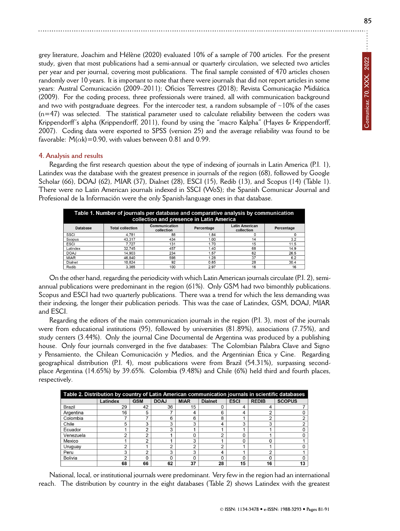grey literature, Joachim and Hélène (2020) evaluated 10% of a sample of 700 articles. For the present study, given that most publications had a semi-annual or quarterly circulation, we selected two articles per year and per journal, covering most publications. The final sample consisted of 470 articles chosen randomly over 10 years. It is important to note that there were journals that did not report articles in some years: Austral Comunicación (2009–2011); Oficios Terrestres (2018); Revista Comunicação Midiática (2009). For the coding process, three professionals were trained, all with communication background and two with postgraduate degrees. For the intercoder test, a random subsample of  $\sim$ 10% of the cases (n=47) was selected. The statistical parameter used to calculate reliability between the coders was Krippendorff's alpha (Krippendorff, 2011), found by using the "macro Kalpha" (Hayes & Krippendorff, 2007). Coding data were exported to SPSS (version 25) and the average reliability was found to be favorable:  $M(\alpha k)$ =0.90, with values between 0.81 and 0.99.

# **4. Analysis and results**

Regarding the first research question about the type of indexing of journals in Latin America (P.I. 1), Latindex was the database with the greatest presence in journals of the region (68), followed by Google Scholar (66), DOAJ (62), MIAR (37), Dialnet (28), ESCI (15), Redib (13), and Scopus (14) (Table 1). There were no Latin American journals indexed in SSCI (WoS); the Spanish Comunicar Journal and Profesional de la Información were the only Spanish-language ones in that database.

| Table 1. Number of journals per database and comparative analysis by communication<br>collection and presence in Latin America |                         |                             |            |                                     |            |  |  |
|--------------------------------------------------------------------------------------------------------------------------------|-------------------------|-----------------------------|------------|-------------------------------------|------------|--|--|
| Database                                                                                                                       | <b>Total collection</b> | Communication<br>collection | Percentage | <b>Latin American</b><br>collection | Percentage |  |  |
| SSCI                                                                                                                           | 4.781                   | 88                          | 1.84       |                                     |            |  |  |
| Scopus                                                                                                                         | 43.317                  | 434                         | 1.00       | 14                                  | 3.2        |  |  |
| <b>ESCI</b>                                                                                                                    | 7.727                   | 131                         | 1.70       | 15                                  | 11.5       |  |  |
| Latindex                                                                                                                       | 32.745                  | 457                         | 1.40       | 68                                  | 14.9       |  |  |
| <b>DOAJ</b>                                                                                                                    | 14,903                  | 234                         | 1.57       | 62                                  | 26.5       |  |  |
| <b>MIAR</b>                                                                                                                    | 46.840                  | 598                         | 1.28       | 37                                  | 6.2        |  |  |
| Dialnet                                                                                                                        | 10.824                  | 92                          | 0.85       | 28                                  | 30.4       |  |  |
| Redib                                                                                                                          | 3.365                   | 100                         | 2.97       | 16                                  | 16         |  |  |

On the other hand, regarding the periodicity with which Latin American journals circulate (P.I. 2), semiannual publications were predominant in the region (61%). Only GSM had two bimonthly publications. Scopus and ESCI had two quarterly publications. There was a trend for which the less demanding was their indexing, the longer their publication periods. This was the case of Latindex, GSM, DOAJ, MIAR and ESCI.

Regarding the editors of the main communication journals in the region (P.I. 3), most of the journals were from educational institutions (95), followed by universities (81.89%), associations (7.75%), and study centers (3.44%). Only the journal Cine Documental de Argentina was produced by a publishing house. Only four journals converged in the five databases: The Colombian Palabra Clave and Signo y Pensamiento, the Chilean Comunicación y Medios, and the Argentinian Ética y Cine. Regarding geographical distribution (P.I. 4), most publications were from Brazil (54.31%), surpassing secondplace Argentina (14.65%) by 39.65%. Colombia (9.48%) and Chile (6%) held third and fourth places, respectively.

| Table 2. Distribution by country of Latin American communication journals in scientific databases |          |            |             |             |                |             |              |               |
|---------------------------------------------------------------------------------------------------|----------|------------|-------------|-------------|----------------|-------------|--------------|---------------|
|                                                                                                   | Latindex | <b>GSM</b> | <b>DOAJ</b> | <b>MIAR</b> | <b>Dialnet</b> | <b>ESCI</b> | <b>REDIB</b> | <b>SCOPUS</b> |
| Brazil                                                                                            | 29       | 42         | 36          | 15          |                |             |              |               |
| Argentina                                                                                         | 16       | 5          |             | 4           |                |             |              |               |
| Colombia                                                                                          |          | -          | 6           | 6           | 8              |             | ⌒            |               |
| Chile                                                                                             |          | 3          | 3           | 3           |                | 3           | 3            |               |
| Ecuador                                                                                           |          | ⌒          | ົ           |             |                |             |              |               |
| Venezuela                                                                                         |          | ◠          |             |             | ⌒              |             |              |               |
| Mexico                                                                                            |          | ◠          |             | 3           |                |             |              |               |
| Uruguay                                                                                           |          |            | ╭           | c           |                |             |              |               |
| Peru                                                                                              |          | ◠          | 3           | 3           |                |             | ◠            |               |
| Bolivia                                                                                           |          |            |             |             |                |             |              |               |
|                                                                                                   | 68       | 66         | 62          | 37          | 28             | 15          | 16           | 13            |

National, local, or institutional journals were predominant. Very few in the region had an international reach. The distribution by country in the eight databases (Table 2) shows Latindex with the greatest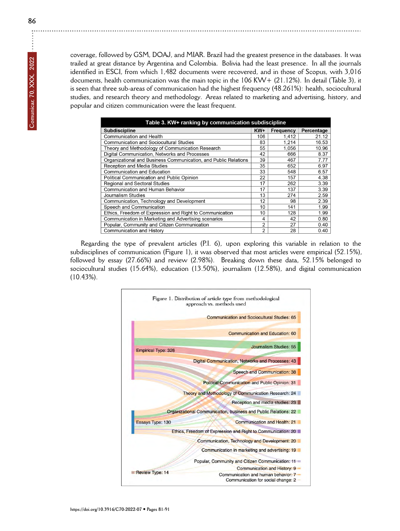coverage, followed by GSM, DOAJ, and MIAR. Brazil had the greatest presence in the databases. It was trailed at great distance by Argentina and Colombia. Bolivia had the least presence. In all the journals identified in ESCI, from which 1,482 documents were recovered, and in those of Scopus, with 3,016 documents, health communication was the main topic in the 106 KW+ (21.12%). In detail (Table 3), it is seen that three sub-areas of communication had the highest frequency (48.261%): health, sociocultural studies, and research theory and methodology. Areas related to marketing and advertising, history, and popular and citizen communication were the least frequent.

| Table 3. KW+ ranking by communication subdiscipline             |     |           |            |  |  |  |  |  |
|-----------------------------------------------------------------|-----|-----------|------------|--|--|--|--|--|
| <b>Subdiscipline</b>                                            | KW+ | Frequency | Percentage |  |  |  |  |  |
| <b>Communication and Health</b>                                 | 106 | 1,412     | 21.12      |  |  |  |  |  |
| <b>Communication and Sociocultural Studies</b>                  | 83  | 1,214     | 16.53      |  |  |  |  |  |
| Theory and Methodology of Communication Research                | 55  | 1.056     | 10.96      |  |  |  |  |  |
| Digital Communication, Networks and Processes                   | 42  | 666       | 8.37       |  |  |  |  |  |
| Organizational and Business Communication, and Public Relations | 39  | 467       | 7.77       |  |  |  |  |  |
| Reception and Media Studies                                     | 35  | 652       | 6.97       |  |  |  |  |  |
| Communication and Education                                     | 33  | 548       | 6.57       |  |  |  |  |  |
| Political Communication and Public Opinion                      | 22  | 157       | 4.38       |  |  |  |  |  |
| Regional and Sectoral Studies                                   | 17  | 262       | 3.39       |  |  |  |  |  |
| Communication and Human Behavior                                | 17  | 137       | 3.39       |  |  |  |  |  |
| Journalism Studies                                              | 13  | 274       | 2.59       |  |  |  |  |  |
| Communication, Technology and Development                       | 12  | 98        | 2.39       |  |  |  |  |  |
| Speech and Communication                                        | 10  | 141       | 1.99       |  |  |  |  |  |
| Ethics, Freedom of Expression and Right to Communication        | 10  | 128       | 1.99       |  |  |  |  |  |
| Communication in Marketing and Advertising scenarios            | 4   | 42        | 0.80       |  |  |  |  |  |
| Popular, Community and Citizen Communication                    | 2   | 27        | 0.40       |  |  |  |  |  |
| Communication and History                                       | 2   | 28        | 0.40       |  |  |  |  |  |

Regarding the type of prevalent articles (P.I. 6), upon exploring this variable in relation to the subdisciplines of communication (Figure 1), it was observed that most articles were empirical (52.15%), followed by essay (27.66%) and review (2.98%). Breaking down these data, 52.15% belonged to sociocultural studies (15.64%), education (13.50%), journalism (12.58%), and digital communication (10.43%).



j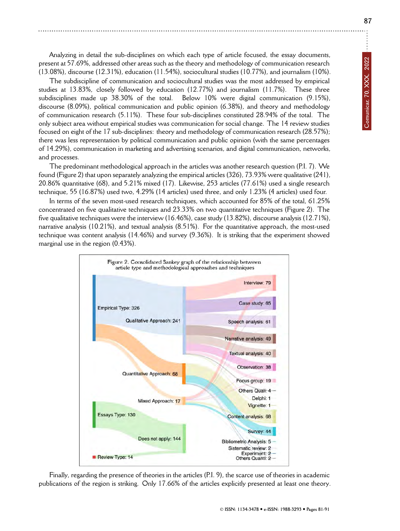Analyzing in detail the sub-disciplines on which each type of article focused, the essay documents, present at 57.69%, addressed other areas such as the theory and methodology of communication research (13.08%), discourse (12.31%), education (11.54%), sociocultural studies (10.77%), and journalism (10%).

The subdiscipline of communication and sociocultural studies was the most addressed by empirical studies at 13.83%, closely followed by education (12.77%) and journalism (11.7%). These three subdisciplines made up 38.30% of the total. Below 10% were digital communication (9.15%), discourse (8.09%), political communication and public opinion (6.38%), and theory and methodology of communication research (5.11%). These four sub-disciplines constituted 28.94% of the total. The only subject area without empirical studies was communication for social change. The 14 review studies focused on eight of the 17 sub-disciplines: theory and methodology of communication research (28.57%); there was less representation by political communication and public opinion (with the same percentages of 14.29%), communication in marketing and advertising scenarios, and digital communication, networks, and processes.

The predominant methodological approach in the articles was another research question (P.I. 7). We found (Figure 2) that upon separately analyzing the empirical articles (326), 73.93% were qualitative (241), 20.86% quantitative (68), and 5.21% mixed (17). Likewise, 253 articles (77.61%) used a single research technique, 55 (16.87%) used two, 4.29% (14 articles) used three, and only 1.23% (4 articles) used four.

In terms of the seven most-used research techniques, which accounted for 85% of the total, 61.25% concentrated on five qualitative techniques and 23.33% on two quantitative techniques (Figure 2). The five qualitative techniques were the interview (16.46%), case study (13.82%), discourse analysis (12.71%), narrative analysis (10.21%), and textual analysis (8.51%). For the quantitative approach, the most-used technique was content analysis (14.46%) and survey (9.36%). It is striking that the experiment showed marginal use in the region (0.43%).



Finally, regarding the presence of theories in the articles (P.I. 9), the scarce use of theories in academic publications of the region is striking. Only 17.66% of the articles explicitly presented at least one theory.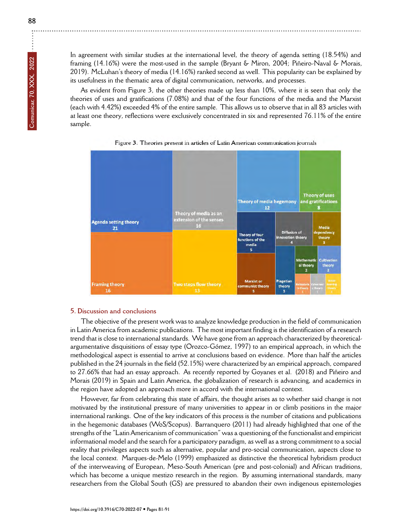**Comunicar, 70, XXX, 2022**

In agreement with similar studies at the international level, the theory of agenda setting (18.54%) and framing (14.16%) were the most-used in the sample (Bryant & Miron, 2004; Piñeiro-Naval & Morais, 2019). McLuhan's theory of media (14.16%) ranked second as well. This popularity can be explained by its usefulness in the thematic area of digital communication, networks, and processes.

As evident from Figure 3, the other theories made up less than 10%, where it is seen that only the theories of uses and gratifications (7.08%) and that of the four functions of the media and the Marxist (each with 4.42%) exceeded 4% of the entire sample. This allows us to observe that in all 83 articles with at least one theory, reflections were exclusively concentrated in six and represented 76.11% of the entire sample.





#### **5. Discussion and conclusions**

The objective of the present work was to analyze knowledge production in the field of communication in Latin America from academic publications. The most important finding is the identification of a research trend that is close to international standards. We have gone from an approach characterized by theoreticalargumentative disquisitions of essay type (Orozco-Gómez, 1997) to an empirical approach, in which the methodological aspect is essential to arrive at conclusions based on evidence. More than half the articles published in the 24 journals in the field (52.15%) were characterized by an empirical approach, compared to 27.66% that had an essay approach. As recently reported by Goyanes et al. (2018) and Piñeiro and Morais (2019) in Spain and Latin America, the globalization of research is advancing, and academics in the region have adopted an approach more in accord with the international context.

However, far from celebrating this state of affairs, the thought arises as to whether said change is not motivated by the institutional pressure of many universities to appear in or climb positions in the major international rankings. One of the key indicators of this process is the number of citations and publications in the hegemonic databases (WoS/Scopus). Barranquero (2011) had already highlighted that one of the strengths of the "Latin Americanism of communication" was a questioning of the functionalist and empiricist informational model and the search for a participatory paradigm, as well as a strong commitment to a social reality that privileges aspects such as alternative, popular and pro-social communication, aspects close to the local context. Marques-de-Melo (1999) emphasized as distinctive the theoretical hybridism product of the interweaving of European, Meso-South American (pre and post-colonial) and African traditions, which has become a unique mestizo research in the region. By assuming international standards, many researchers from the Global South (GS) are pressured to abandon their own indigenous epistemologies

÷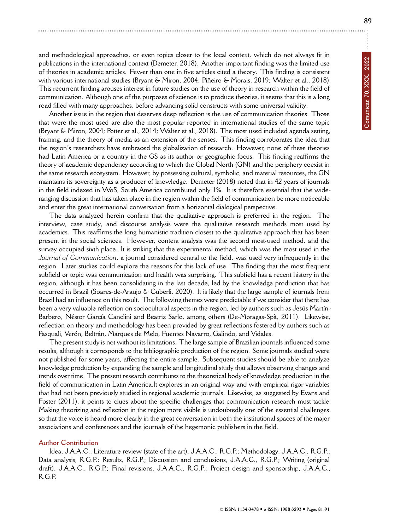and methodological approaches, or even topics closer to the local context, which do not always fit in publications in the international context (Demeter, 2018). Another important finding was the limited use of theories in academic articles. Fewer than one in five articles cited a theory. This finding is consistent with various international studies (Bryant & Miron, 2004; Piñeiro & Morais, 2019; Walter et al., 2018). This recurrent finding arouses interest in future studies on the use of theory in research within the field of communication. Although one of the purposes of science is to produce theories, it seems that this is a long road filled with many approaches, before advancing solid constructs with some universal validity.

Another issue in the region that deserves deep reflection is the use of communication theories. Those that were the most used are also the most popular reported in international studies of the same topic (Bryant & Miron, 2004; Potter et al., 2014; Walter et al., 2018). The most used included agenda setting, framing, and the theory of media as an extension of the senses. This finding corroborates the idea that the region's researchers have embraced the globalization of research. However, none of these theories had Latin America or a country in the GS as its author or geographic focus. This finding reaffirms the theory of academic dependency according to which the Global North (GN) and the periphery coexist in the same research ecosystem. However, by possessing cultural, symbolic, and material resources, the GN maintains its sovereignty as a producer of knowledge. Demeter (2018) noted that in 42 years of journals in the field indexed in WoS, South America contributed only 1%. It is therefore essential that the wideranging discussion that has taken place in the region within the field of communication be more noticeable and enter the great international conversation from a horizontal dialogical perspective.

The data analyzed herein confirm that the qualitative approach is preferred in the region. The interview, case study, and discourse analysis were the qualitative research methods most used by academics. This reaffirms the long humanistic tradition closest to the qualitative approach that has been present in the social sciences. However, content analysis was the second most-used method, and the survey occupied sixth place. It is striking that the experimental method, which was the most used in the *Journal of Communication*, a journal considered central to the field, was used very infrequently in the region. Later studies could explore the reasons for this lack of use. The finding that the most frequent subfield or topic was communication and health was surprising. This subfield has a recent history in the region, although it has been consolidating in the last decade, led by the knowledge production that has occurred in Brazil (Soares-de-Araujo & Cuberli, 2020). It is likely that the large sample of journals from Brazil had an influence on this result. The following themes were predictable if we consider that there has been a very valuable reflection on sociocultural aspects in the region, led by authors such as Jesús Martín-Barbero, Néstor García Canclini and Beatriz Sarlo, among others (De-Moragas-Spà, 2011). Likewise, reflection on theory and methodology has been provided by great reflections fostered by authors such as Pasquali, Verón, Beltrán, Marques de Melo, Fuentes Navarro, Galindo, and Vidales.

The present study is not without its limitations. The large sample of Brazilian journals influenced some results, although it corresponds to the bibliographic production of the region. Some journals studied were not published for some years, affecting the entire sample. Subsequent studies should be able to analyze knowledge production by expanding the sample and longitudinal study that allows observing changes and trends over time. The present research contributes to the theoretical body of knowledge production in the field of communication in Latin America.It explores in an original way and with empirical rigor variables that had not been previously studied in regional academic journals. Likewise, as suggested by Evans and Foster (2011), it points to clues about the specific challenges that communication research must tackle. Making theorizing and reflection in the region more visible is undoubtedly one of the essential challenges. so that the voice is heard more clearly in the great conversation in both the institutional spaces of the major associations and conferences and the journals of the hegemonic publishers in the field.

# **Author Contribution**

Idea, J.A.A.C.; Literature review (state of the art), J.A.A.C., R.G.P.; Methodology, J.A.A.C., R.G.P.; Data analysis, R.G.P.; Results, R.G.P.; Discussion and conclusions, J.A.A.C., R.G.P.; Writing (original draft), J.A.A.C., R.G.P.; Final revisions, J.A.A.C., R.G.P.; Project design and sponsorship, J.A.A.C., R.G.P.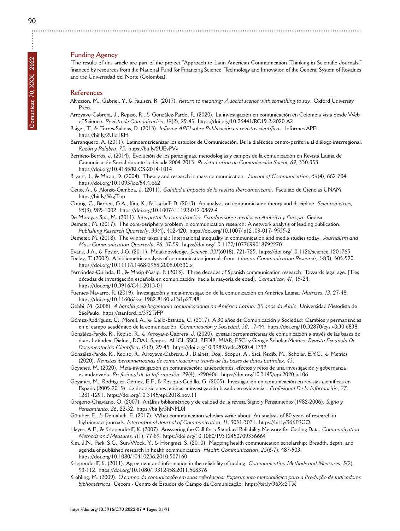#### **Funding Agency**

The results of this article are part of the project "Approach to Latin American Communication Thinking in Scientific Journals," financed by resources from the National Fund for Financing Science, Technology and Innovation of the General System of Royalties and the Universidad del Norte (Colombia).

# **References**

- Alvesson, M., Gabriel, Y., & Paulsen, R. (2017). *Return to meaning: A social scence with something to say*. Oxford University Press.
- Arroyave-Cabrera, J., Repiso, R., & González-Pardo, R. (2020). La investigación en comunicación en Colombia vista desde Web of Science. *Revista de Comunicación*, *19*(2), 29-45.<https://doi.org/10.26441/RC19.2-2020-A2>
- Baiget, T., & Torres-Salinas, D. (2013). *Informe APEI sobre Publicación en revistas científicas*. Informes APEI. <https://bit.ly/2UIq1KH>
- Barranquero, A. (2011). Latinoamericanizar los estudios de Comunicación. De la dialéctica centro-periferia al diálogo interregional. *Razón y Palabra*, *75*.<https://bit.ly/2UEvPVv>
- Bermejo-Berros, J. (2014). Evolución de los paradigmas, metodologías y campos de la comunicación en Revista Latina de Comunicación Social durante la década 2004-2013. *Revista Latina de Comunicación Social*, *69*, 330-353. <https://doi.org/10.4185/RLCS-2014-1014>
- Bryant, J., & Miron, D. (2004). Theory and research in mass communication. *Journal of Communication*, *54*(4), 662-704. <https://doi.org/10.1093/joc/54.4.662>
- Cetto, A., & Alonso-Gamboa, J. (2011). *Calidad e Impacto de la revista Iberoamericana*. Facultad de Ciencias UNAM. <https://bit.ly/3ikgTnp>
- Chung, C., Barnett, G.A., Kim, K., & Lackaff, D. (2013). An analysis on communication theory and discipline. *Scientometrics*, *95*(3), 985-1002.<https://doi.org/10.1007/s11192-012-0869-4>
- De-Moragas-Spà, M. (2011). *Interpretar la comunicación. Estudios sobre medios en América y Europa*. Gedisa. Demeter, M. (2017). The core-periphery problem in communication research: A network analysis of leading publication. *Publishing Research Quarterly*, *33*(4), 402-420.<https://doi.org/10.1007/ s12109-017- 9535-2>
- Demeter, M. (2018). The winner takes it all: International inequality in communication and media studies today. *Journalism and Mass Communication Quarterly*, *96*, 37-59.<https://doi.org/10.1177/1077699018792270>
- Evans, J.A., & Foster, J.G. (2011). Metaknowledge. *Science*, *331*(6018), 721-725.<https://doi.org/10.1126/science.1201765> Feeley, T. (2002). A bibliometric analysis of communication journals from. *Human Communication Research*, *34*(3), 505-520.
- <https://doi.org/10.1111/j.1468-2958.2008.00330.x>
- Fernández-Quijada, D., & Masip-Masip, P. (2013). Three decades of Spanish communication research: Towards legal age. [Tres décadas de investigación española en comunicación: hacia la mayoría de edad]. *Comunicar*, *41*, 15-24. <https://doi.org/10.3916/C41-2013-01>
- Fuentes-Navarro, R. (2019). Investigación y meta-investigación de la comunicación en América Latina. *Matrizes*, *13*, 27-48. <https://doi.org/10.11606/issn.1982-8160.v13i1p27-48>
- Gobbi, M. (2008). *A batalla pela hegemonia comunicacional na América Latina: 30 anos da Alaic*. Universidad Metodista de SáoPaulo.<https://stanford.io/372TrFP>
- Gómez-Rodríguez, G., Morell, A., & Gallo-Estrada, C. (2017). A 30 años de Comunicación y Sociedad: Cambios y permanencias en el campo académico de la comunicación. *Comunicación y Sociedad*, *30*, 17-44.<https://doi.org/10.32870/cys.v0i30.6838>
- González-Pardo, R., Repiso, R., & Arroyave-Cabrera, J. (2020). evistas iberoamericanas de comunicación a través de las bases de datos Latindex, Dialnet, DOAJ, Scopus, AHCI, SSCI, REDIB, MIAR, ESCI y Google Scholar Metrics. *Revista Española De Documentación Científica*, *19*(2), 29-45.<https://doi.org/10.3989/redc.2020.4.1732>
- González-Pardo, R., Repiso, R., Arroyave-Cabrera, J., Dialnet, Doaj, Scopus, A., Ssci, Redib, M., Scholar, E.Y.G., & Metrics (2020). *Revistas iberoamericanas de comunicación a través de las bases de datos Latindex*, *43*.
- Goyanes, M. (2020). Meta-investigación en comunicación: antecedentes, efectos y retos de una investigación y gobernanza estandarizada. *Profesional de la Información*, *29*(4), e290406.<https://doi.org/10.3145/epi.2020.jul.06>
- Goyanes, M., Rodríguez-Gómez, E.F., & Rosique-Cedillo, G. (2005). Investigación en comunicación en revistas científicas en España (2005-2015): de disquisiciones teóricas a investigación basada en evidencias. *Profesional De la Información*, *27*, 1281-1291.<https://doi.org/10.3145/epi.2018.nov.11>
- Gregorio-Chaviano, O. (2007). Análisis bibliométrico y de calidad de la revista Signo y Pensamiento (1982-2006). *Signo y Pensamiento*, *26*, 22-32.<https://bit.ly/3hNPL0I>
- Günther, E., & Domahidi, E. (2017). What communication scholars write about: An analysis of 80 years of research in high-impact journals. *International Journal of Communication*, *11*, 3051-3071.<https://bit.ly/36KP9CO>
- Hayes, A.F., & Krippendorff, K. (2007). Answering the Call for a Standard Reliability Measure for Coding Data. *Communication Methods and Measures*, *1*(1), 77-89.<https://doi.org/10.1080/19312450709336664>
- Kim, J.N., Park, S.C., Sun-Wook, Y., & Hongmei, S. (2010). Mapping health communication scholarship: Breadth, depth, and agenda of published research in health communication. *Health Communication*, *25*(6-7), 487-503. <https://doi.org/10.1080/10410236.2010.507160>
- Krippendorff, K. (2011). Agreement and information in the reliability of coding. *Communication Methods and Measures*, *5*(2), 93-112.<https://doi.org/10.1080/19312458.2011.568376>
- Krohling, M. (2009). *O campo da comunicação em suas referências: Experimento metodológico para a Produção de Indicadores bibliométricos*. Cecom - Centro de Estudos do Campo da Comunicação.<https://bit.ly/36Xc2TX>